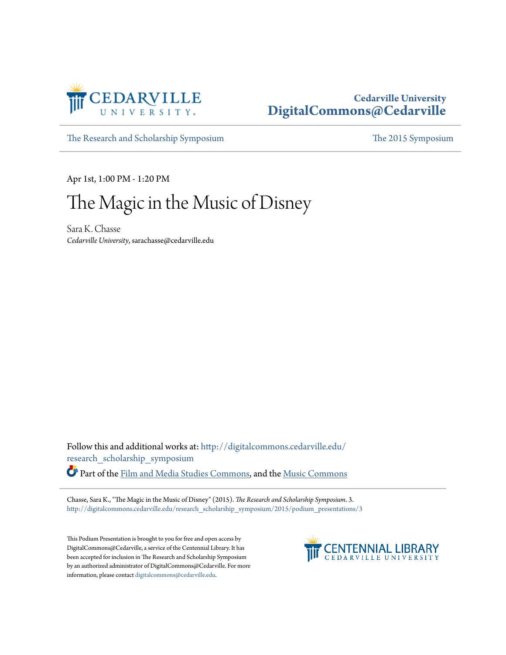

## **Cedarville University [DigitalCommons@Cedarville](http://digitalcommons.cedarville.edu?utm_source=digitalcommons.cedarville.edu%2Fresearch_scholarship_symposium%2F2015%2Fpodium_presentations%2F3&utm_medium=PDF&utm_campaign=PDFCoverPages)**

[The Research and Scholarship Symposium](http://digitalcommons.cedarville.edu/research_scholarship_symposium?utm_source=digitalcommons.cedarville.edu%2Fresearch_scholarship_symposium%2F2015%2Fpodium_presentations%2F3&utm_medium=PDF&utm_campaign=PDFCoverPages) [The 2015 Symposium](http://digitalcommons.cedarville.edu/research_scholarship_symposium/2015?utm_source=digitalcommons.cedarville.edu%2Fresearch_scholarship_symposium%2F2015%2Fpodium_presentations%2F3&utm_medium=PDF&utm_campaign=PDFCoverPages)

Apr 1st, 1:00 PM - 1:20 PM

## The Magic in the Music of Disney

Sara K. Chasse *Cedarville University*, sarachasse@cedarville.edu

Follow this and additional works at: [http://digitalcommons.cedarville.edu/](http://digitalcommons.cedarville.edu/research_scholarship_symposium?utm_source=digitalcommons.cedarville.edu%2Fresearch_scholarship_symposium%2F2015%2Fpodium_presentations%2F3&utm_medium=PDF&utm_campaign=PDFCoverPages) [research\\_scholarship\\_symposium](http://digitalcommons.cedarville.edu/research_scholarship_symposium?utm_source=digitalcommons.cedarville.edu%2Fresearch_scholarship_symposium%2F2015%2Fpodium_presentations%2F3&utm_medium=PDF&utm_campaign=PDFCoverPages)

Part of the [Film and Media Studies Commons](http://network.bepress.com/hgg/discipline/563?utm_source=digitalcommons.cedarville.edu%2Fresearch_scholarship_symposium%2F2015%2Fpodium_presentations%2F3&utm_medium=PDF&utm_campaign=PDFCoverPages), and the [Music Commons](http://network.bepress.com/hgg/discipline/518?utm_source=digitalcommons.cedarville.edu%2Fresearch_scholarship_symposium%2F2015%2Fpodium_presentations%2F3&utm_medium=PDF&utm_campaign=PDFCoverPages)

Chasse, Sara K., "The Magic in the Music of Disney" (2015). *The Research and Scholarship Symposium*. 3. [http://digitalcommons.cedarville.edu/research\\_scholarship\\_symposium/2015/podium\\_presentations/3](http://digitalcommons.cedarville.edu/research_scholarship_symposium/2015/podium_presentations/3?utm_source=digitalcommons.cedarville.edu%2Fresearch_scholarship_symposium%2F2015%2Fpodium_presentations%2F3&utm_medium=PDF&utm_campaign=PDFCoverPages)

This Podium Presentation is brought to you for free and open access by DigitalCommons@Cedarville, a service of the Centennial Library. It has been accepted for inclusion in The Research and Scholarship Symposium by an authorized administrator of DigitalCommons@Cedarville. For more information, please contact [digitalcommons@cedarville.edu.](mailto:digitalcommons@cedarville.edu)

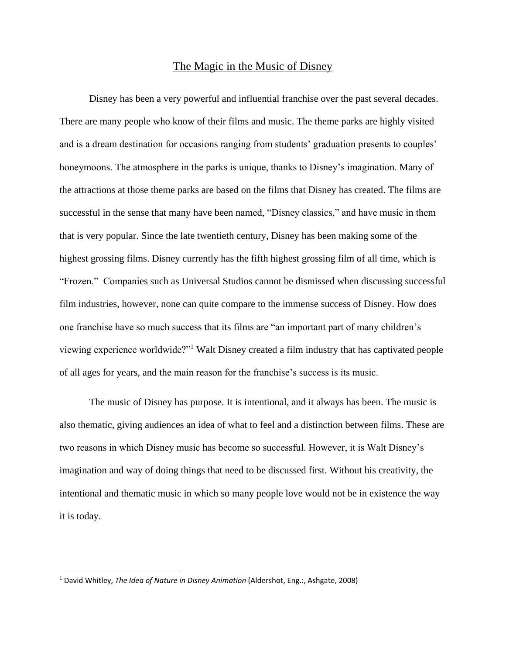## The Magic in the Music of Disney

Disney has been a very powerful and influential franchise over the past several decades. There are many people who know of their films and music. The theme parks are highly visited and is a dream destination for occasions ranging from students' graduation presents to couples' honeymoons. The atmosphere in the parks is unique, thanks to Disney's imagination. Many of the attractions at those theme parks are based on the films that Disney has created. The films are successful in the sense that many have been named, "Disney classics," and have music in them that is very popular. Since the late twentieth century, Disney has been making some of the highest grossing films. Disney currently has the fifth highest grossing film of all time, which is "Frozen." Companies such as Universal Studios cannot be dismissed when discussing successful film industries, however, none can quite compare to the immense success of Disney. How does one franchise have so much success that its films are "an important part of many children's viewing experience worldwide?"<sup>1</sup> Walt Disney created a film industry that has captivated people of all ages for years, and the main reason for the franchise's success is its music.

The music of Disney has purpose. It is intentional, and it always has been. The music is also thematic, giving audiences an idea of what to feel and a distinction between films. These are two reasons in which Disney music has become so successful. However, it is Walt Disney's imagination and way of doing things that need to be discussed first. Without his creativity, the intentional and thematic music in which so many people love would not be in existence the way it is today.

 $\overline{\phantom{a}}$ 

<sup>1</sup> David Whitley, *The Idea of Nature in Disney Animation* (Aldershot, Eng.:, Ashgate, 2008)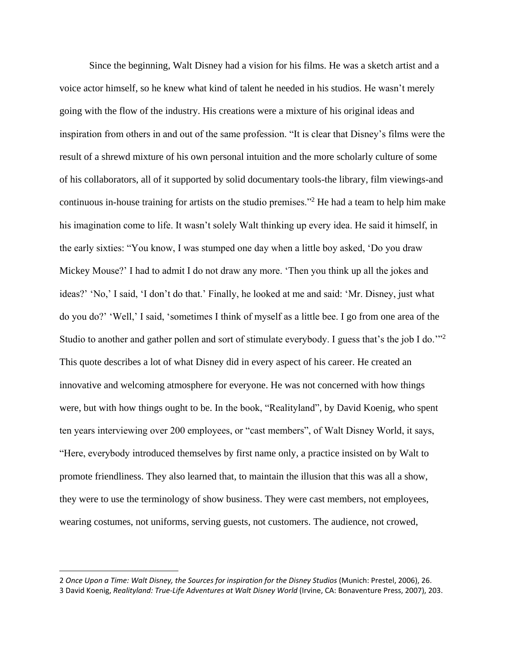Since the beginning, Walt Disney had a vision for his films. He was a sketch artist and a voice actor himself, so he knew what kind of talent he needed in his studios. He wasn't merely going with the flow of the industry. His creations were a mixture of his original ideas and inspiration from others in and out of the same profession. "It is clear that Disney's films were the result of a shrewd mixture of his own personal intuition and the more scholarly culture of some of his collaborators, all of it supported by solid documentary tools-the library, film viewings-and continuous in-house training for artists on the studio premises."<sup>2</sup> He had a team to help him make his imagination come to life. It wasn't solely Walt thinking up every idea. He said it himself, in the early sixties: "You know, I was stumped one day when a little boy asked, 'Do you draw Mickey Mouse?' I had to admit I do not draw any more. 'Then you think up all the jokes and ideas?' 'No,' I said, 'I don't do that.' Finally, he looked at me and said: 'Mr. Disney, just what do you do?' 'Well,' I said, 'sometimes I think of myself as a little bee. I go from one area of the Studio to another and gather pollen and sort of stimulate everybody. I guess that's the job I do."<sup>2</sup> This quote describes a lot of what Disney did in every aspect of his career. He created an innovative and welcoming atmosphere for everyone. He was not concerned with how things were, but with how things ought to be. In the book, "Realityland", by David Koenig, who spent ten years interviewing over 200 employees, or "cast members", of Walt Disney World, it says, "Here, everybody introduced themselves by first name only, a practice insisted on by Walt to promote friendliness. They also learned that, to maintain the illusion that this was all a show, they were to use the terminology of show business. They were cast members, not employees, wearing costumes, not uniforms, serving guests, not customers. The audience, not crowed,

 $\overline{\phantom{a}}$ 

<sup>2</sup> *Once Upon a Time: Walt Disney, the Sources for inspiration for the Disney Studios* (Munich: Prestel, 2006), 26. 3 David Koenig, *Realityland: True-Life Adventures at Walt Disney World* (Irvine, CA: Bonaventure Press, 2007), 203.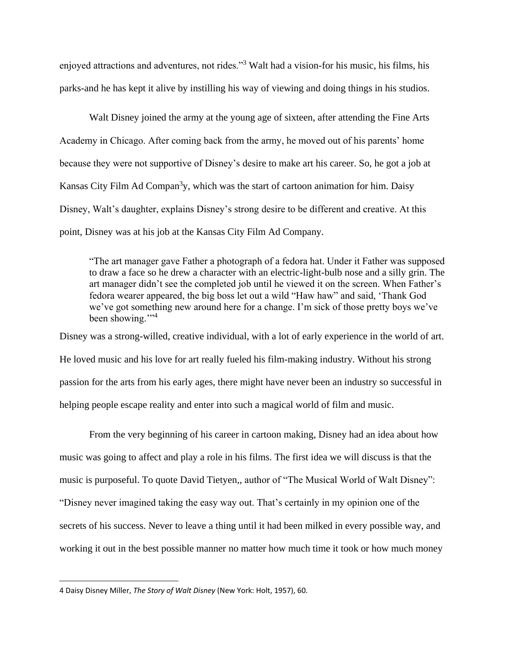enjoyed attractions and adventures, not rides."<sup>3</sup> Walt had a vision-for his music, his films, his parks-and he has kept it alive by instilling his way of viewing and doing things in his studios.

Walt Disney joined the army at the young age of sixteen, after attending the Fine Arts Academy in Chicago. After coming back from the army, he moved out of his parents' home because they were not supportive of Disney's desire to make art his career. So, he got a job at Kansas City Film Ad Compan<sup>3</sup>y, which was the start of cartoon animation for him. Daisy Disney, Walt's daughter, explains Disney's strong desire to be different and creative. At this point, Disney was at his job at the Kansas City Film Ad Company.

"The art manager gave Father a photograph of a fedora hat. Under it Father was supposed to draw a face so he drew a character with an electric-light-bulb nose and a silly grin. The art manager didn't see the completed job until he viewed it on the screen. When Father's fedora wearer appeared, the big boss let out a wild "Haw haw" and said, 'Thank God we've got something new around here for a change. I'm sick of those pretty boys we've been showing."<sup>4</sup>

Disney was a strong-willed, creative individual, with a lot of early experience in the world of art. He loved music and his love for art really fueled his film-making industry. Without his strong passion for the arts from his early ages, there might have never been an industry so successful in helping people escape reality and enter into such a magical world of film and music.

From the very beginning of his career in cartoon making, Disney had an idea about how music was going to affect and play a role in his films. The first idea we will discuss is that the music is purposeful. To quote David Tietyen,, author of "The Musical World of Walt Disney": "Disney never imagined taking the easy way out. That's certainly in my opinion one of the secrets of his success. Never to leave a thing until it had been milked in every possible way, and working it out in the best possible manner no matter how much time it took or how much money

 $\overline{a}$ 

<sup>4</sup> Daisy Disney Miller, *The Story of Walt Disney* (New York: Holt, 1957), 60.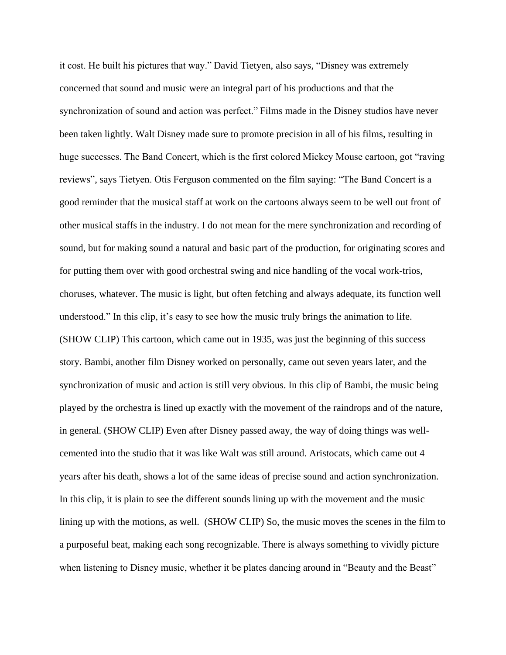it cost. He built his pictures that way." David Tietyen, also says, "Disney was extremely concerned that sound and music were an integral part of his productions and that the synchronization of sound and action was perfect." Films made in the Disney studios have never been taken lightly. Walt Disney made sure to promote precision in all of his films, resulting in huge successes. The Band Concert, which is the first colored Mickey Mouse cartoon, got "raving reviews", says Tietyen. Otis Ferguson commented on the film saying: "The Band Concert is a good reminder that the musical staff at work on the cartoons always seem to be well out front of other musical staffs in the industry. I do not mean for the mere synchronization and recording of sound, but for making sound a natural and basic part of the production, for originating scores and for putting them over with good orchestral swing and nice handling of the vocal work-trios, choruses, whatever. The music is light, but often fetching and always adequate, its function well understood." In this clip, it's easy to see how the music truly brings the animation to life. (SHOW CLIP) This cartoon, which came out in 1935, was just the beginning of this success story. Bambi, another film Disney worked on personally, came out seven years later, and the synchronization of music and action is still very obvious. In this clip of Bambi, the music being played by the orchestra is lined up exactly with the movement of the raindrops and of the nature, in general. (SHOW CLIP) Even after Disney passed away, the way of doing things was wellcemented into the studio that it was like Walt was still around. Aristocats, which came out 4 years after his death, shows a lot of the same ideas of precise sound and action synchronization. In this clip, it is plain to see the different sounds lining up with the movement and the music lining up with the motions, as well. (SHOW CLIP) So, the music moves the scenes in the film to a purposeful beat, making each song recognizable. There is always something to vividly picture when listening to Disney music, whether it be plates dancing around in "Beauty and the Beast"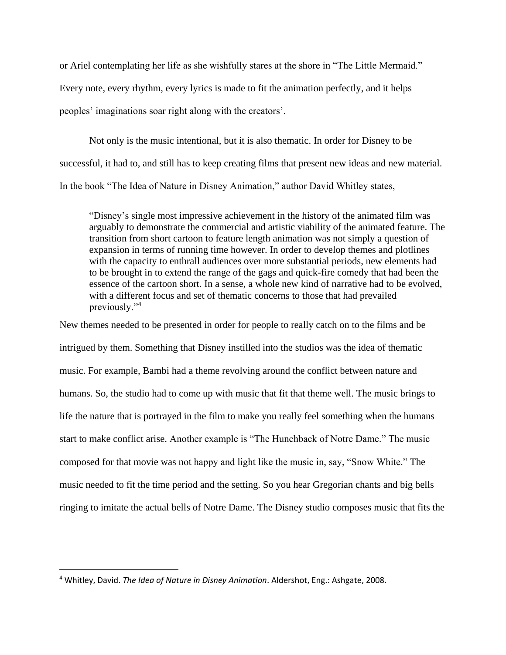or Ariel contemplating her life as she wishfully stares at the shore in "The Little Mermaid." Every note, every rhythm, every lyrics is made to fit the animation perfectly, and it helps peoples' imaginations soar right along with the creators'.

Not only is the music intentional, but it is also thematic. In order for Disney to be successful, it had to, and still has to keep creating films that present new ideas and new material. In the book "The Idea of Nature in Disney Animation," author David Whitley states,

"Disney's single most impressive achievement in the history of the animated film was arguably to demonstrate the commercial and artistic viability of the animated feature. The transition from short cartoon to feature length animation was not simply a question of expansion in terms of running time however. In order to develop themes and plotlines with the capacity to enthrall audiences over more substantial periods, new elements had to be brought in to extend the range of the gags and quick-fire comedy that had been the essence of the cartoon short. In a sense, a whole new kind of narrative had to be evolved, with a different focus and set of thematic concerns to those that had prevailed previously."<sup>4</sup>

New themes needed to be presented in order for people to really catch on to the films and be intrigued by them. Something that Disney instilled into the studios was the idea of thematic music. For example, Bambi had a theme revolving around the conflict between nature and humans. So, the studio had to come up with music that fit that theme well. The music brings to life the nature that is portrayed in the film to make you really feel something when the humans start to make conflict arise. Another example is "The Hunchback of Notre Dame." The music composed for that movie was not happy and light like the music in, say, "Snow White." The music needed to fit the time period and the setting. So you hear Gregorian chants and big bells ringing to imitate the actual bells of Notre Dame. The Disney studio composes music that fits the

 $\overline{a}$ 

<sup>4</sup> Whitley, David. *The Idea of Nature in Disney Animation*. Aldershot, Eng.: Ashgate, 2008.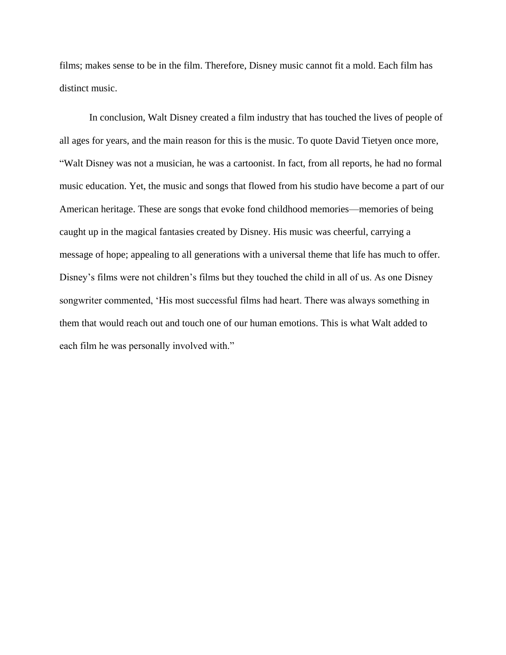films; makes sense to be in the film. Therefore, Disney music cannot fit a mold. Each film has distinct music.

In conclusion, Walt Disney created a film industry that has touched the lives of people of all ages for years, and the main reason for this is the music. To quote David Tietyen once more, "Walt Disney was not a musician, he was a cartoonist. In fact, from all reports, he had no formal music education. Yet, the music and songs that flowed from his studio have become a part of our American heritage. These are songs that evoke fond childhood memories—memories of being caught up in the magical fantasies created by Disney. His music was cheerful, carrying a message of hope; appealing to all generations with a universal theme that life has much to offer. Disney's films were not children's films but they touched the child in all of us. As one Disney songwriter commented, 'His most successful films had heart. There was always something in them that would reach out and touch one of our human emotions. This is what Walt added to each film he was personally involved with."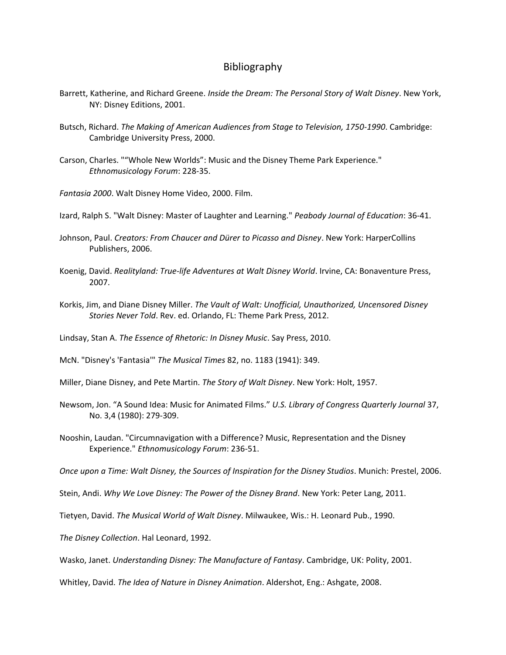## Bibliography

- Barrett, Katherine, and Richard Greene. *Inside the Dream: The Personal Story of Walt Disney*. New York, NY: Disney Editions, 2001.
- Butsch, Richard. *The Making of American Audiences from Stage to Television, 1750-1990*. Cambridge: Cambridge University Press, 2000.
- Carson, Charles. ""Whole New Worlds": Music and the Disney Theme Park Experience." *Ethnomusicology Forum*: 228-35.
- *Fantasia 2000*. Walt Disney Home Video, 2000. Film.
- Izard, Ralph S. "Walt Disney: Master of Laughter and Learning." *Peabody Journal of Education*: 36-41.
- Johnson, Paul. *Creators: From Chaucer and Dürer to Picasso and Disney*. New York: HarperCollins Publishers, 2006.
- Koenig, David. *Realityland: True-life Adventures at Walt Disney World*. Irvine, CA: Bonaventure Press, 2007.
- Korkis, Jim, and Diane Disney Miller. *The Vault of Walt: Unofficial, Unauthorized, Uncensored Disney Stories Never Told*. Rev. ed. Orlando, FL: Theme Park Press, 2012.
- Lindsay, Stan A. *The Essence of Rhetoric: In Disney Music*. Say Press, 2010.
- McN. "Disney's 'Fantasia'" *The Musical Times* 82, no. 1183 (1941): 349.
- Miller, Diane Disney, and Pete Martin. *The Story of Walt Disney*. New York: Holt, 1957.
- Newsom, Jon. "A Sound Idea: Music for Animated Films." *U.S. Library of Congress Quarterly Journal* 37, No. 3,4 (1980): 279-309.
- Nooshin, Laudan. "Circumnavigation with a Difference? Music, Representation and the Disney Experience." *Ethnomusicology Forum*: 236-51.
- *Once upon a Time: Walt Disney, the Sources of Inspiration for the Disney Studios*. Munich: Prestel, 2006.
- Stein, Andi. *Why We Love Disney: The Power of the Disney Brand*. New York: Peter Lang, 2011.
- Tietyen, David. *The Musical World of Walt Disney*. Milwaukee, Wis.: H. Leonard Pub., 1990.

*The Disney Collection*. Hal Leonard, 1992.

Wasko, Janet. *Understanding Disney: The Manufacture of Fantasy*. Cambridge, UK: Polity, 2001.

Whitley, David. *The Idea of Nature in Disney Animation*. Aldershot, Eng.: Ashgate, 2008.